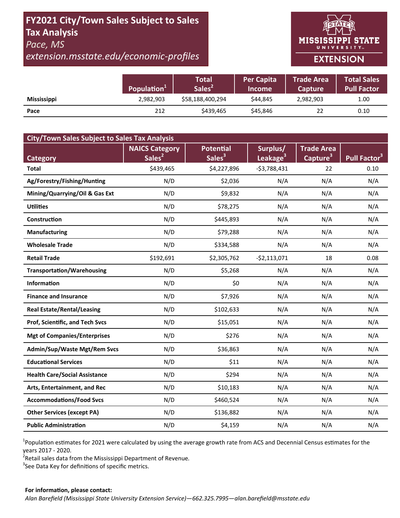## **FY2021 City/Town Sales Subject to Sales Tax Analysis**  *Pace, MS*

# *extension.msstate.edu/economic‐profiles*



## **EXTENSION**

|                    | Population <sup>+</sup> | <b>Total</b><br>Sales <sup>2</sup> | <b>Per Capita</b><br><b>Income</b> | <b>Trade Area</b><br>Capture | Total Sales<br>Pull Factor |
|--------------------|-------------------------|------------------------------------|------------------------------------|------------------------------|----------------------------|
| <b>Mississippi</b> | 2,982,903               | \$58,188,400,294                   | \$44.845                           | 2,982,903                    | 1.00                       |
| Pace               | 212                     | \$439.465                          | \$45,846                           | 22                           | 0.10                       |

| <b>City/Town Sales Subject to Sales Tax Analysis</b> |                                             |                                        |                                  |                                           |                          |  |  |  |
|------------------------------------------------------|---------------------------------------------|----------------------------------------|----------------------------------|-------------------------------------------|--------------------------|--|--|--|
| Category                                             | <b>NAICS Category</b><br>Sales <sup>2</sup> | <b>Potential</b><br>Sales <sup>3</sup> | Surplus/<br>Leakage <sup>3</sup> | <b>Trade Area</b><br>Capture <sup>3</sup> | Pull Factor <sup>3</sup> |  |  |  |
| Total                                                | \$439,465                                   | \$4,227,896                            | $-53,788,431$                    | 22                                        | 0.10                     |  |  |  |
| Ag/Forestry/Fishing/Hunting                          | N/D                                         | \$2,036                                | N/A                              | N/A                                       | N/A                      |  |  |  |
| Mining/Quarrying/Oil & Gas Ext                       | N/D                                         | \$9,832                                | N/A                              | N/A                                       | N/A                      |  |  |  |
| <b>Utilities</b>                                     | N/D                                         | \$78,275                               | N/A                              | N/A                                       | N/A                      |  |  |  |
| Construction                                         | N/D                                         | \$445,893                              | N/A                              | N/A                                       | N/A                      |  |  |  |
| <b>Manufacturing</b>                                 | N/D                                         | \$79,288                               | N/A                              | N/A                                       | N/A                      |  |  |  |
| <b>Wholesale Trade</b>                               | N/D                                         | \$334,588                              | N/A                              | N/A                                       | N/A                      |  |  |  |
| <b>Retail Trade</b>                                  | \$192,691                                   | \$2,305,762                            | $-$2,113,071$                    | 18                                        | 0.08                     |  |  |  |
| <b>Transportation/Warehousing</b>                    | N/D                                         | \$5,268                                | N/A                              | N/A                                       | N/A                      |  |  |  |
| <b>Information</b>                                   | N/D                                         | \$0                                    | N/A                              | N/A                                       | N/A                      |  |  |  |
| <b>Finance and Insurance</b>                         | N/D                                         | \$7,926                                | N/A                              | N/A                                       | N/A                      |  |  |  |
| <b>Real Estate/Rental/Leasing</b>                    | N/D                                         | \$102,633                              | N/A                              | N/A                                       | N/A                      |  |  |  |
| Prof, Scientific, and Tech Svcs                      | N/D                                         | \$15,051                               | N/A                              | N/A                                       | N/A                      |  |  |  |
| <b>Mgt of Companies/Enterprises</b>                  | N/D                                         | \$276                                  | N/A                              | N/A                                       | N/A                      |  |  |  |
| Admin/Sup/Waste Mgt/Rem Svcs                         | N/D                                         | \$36,863                               | N/A                              | N/A                                       | N/A                      |  |  |  |
| <b>Educational Services</b>                          | N/D                                         | \$11                                   | N/A                              | N/A                                       | N/A                      |  |  |  |
| <b>Health Care/Social Assistance</b>                 | N/D                                         | \$294                                  | N/A                              | N/A                                       | N/A                      |  |  |  |
| Arts, Entertainment, and Rec                         | N/D                                         | \$10,183                               | N/A                              | N/A                                       | N/A                      |  |  |  |
| <b>Accommodations/Food Svcs</b>                      | N/D                                         | \$460,524                              | N/A                              | N/A                                       | N/A                      |  |  |  |
| <b>Other Services (except PA)</b>                    | N/D                                         | \$136,882                              | N/A                              | N/A                                       | N/A                      |  |  |  |
| <b>Public Administration</b>                         | N/D                                         | \$4,159                                | N/A                              | N/A                                       | N/A                      |  |  |  |

<sup>1</sup>Population estimates for 2021 were calculated by using the average growth rate from ACS and Decennial Census estimates for the years 2017 ‐ 2020.

2 Retail sales data from the Mississippi Department of Revenue*.* 

 $3$ See Data Key for definitions of specific metrics.

#### **For informaƟon, please contact:**  *Alan Barefield (Mississippi State University Extension Service)—662.325.7995—alan.barefield@msstate.edu*